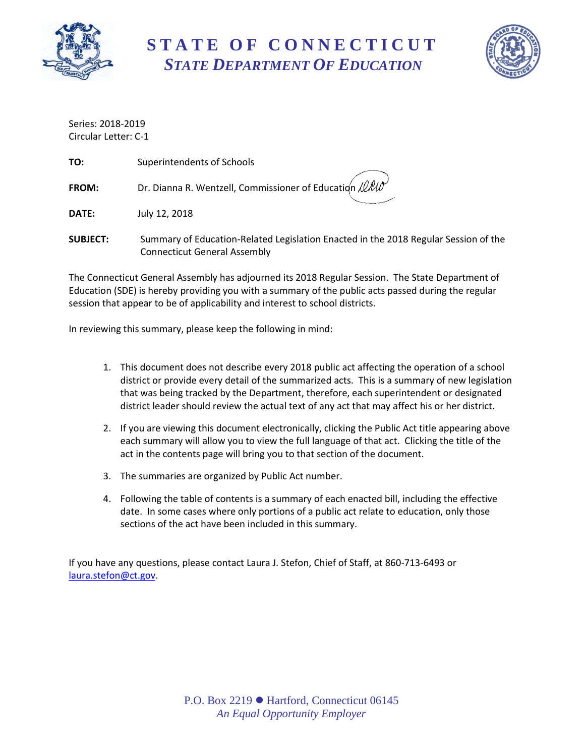

# **S T A T E O F C O N N E C T I C U T** *STATE DEPARTMENT OF EDUCATION*



Series: 2018-2019 Circular Letter: C-1

| TO:             | Superintendents of Schools                                                          |
|-----------------|-------------------------------------------------------------------------------------|
| FROM:           | Dr. Dianna R. Wentzell, Commissioner of Education $\ell\ell\ell\ell\ell\ell$        |
| DATE:           | July 12, 2018                                                                       |
| <b>SUBJECT:</b> | Summary of Education-Related Legislation Enacted in the 2018 Regular Session of the |

The Connecticut General Assembly has adjourned its 2018 Regular Session. The State Department of Education (SDE) is hereby providing you with a summary of the public acts passed during the regular session that appear to be of applicability and interest to school districts.

In reviewing this summary, please keep the following in mind:

Connecticut General Assembly

- 1. This document does not describe every 2018 public act affecting the operation of a school district or provide every detail of the summarized acts. This is a summary of new legislation that was being tracked by the Department, therefore, each superintendent or designated district leader should review the actual text of any act that may affect his or her district.
- 2. If you are viewing this document electronically, clicking the Public Act title appearing above each summary will allow you to view the full language of that act. Clicking the title of the act in the contents page will bring you to that section of the document.
- 3. The summaries are organized by Public Act number.
- 4. Following the table of contents is a summary of each enacted bill, including the effective date. In some cases where only portions of a public act relate to education, only those sections of the act have been included in this summary.

If you have any questions, please contact Laura J. Stefon, Chief of Staff, at 860-713-6493 or [laura.stefon@ct.gov.](mailto:laura.stefon@ct.gov)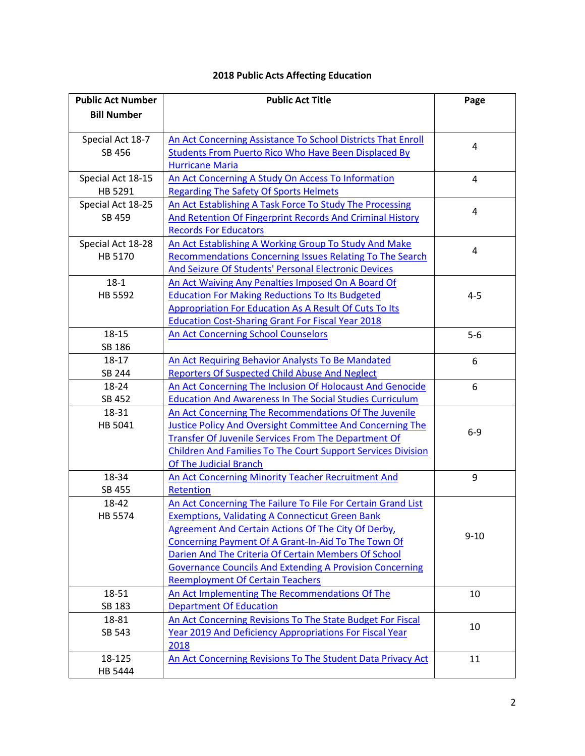| <b>Public Act Number</b> | <b>Public Act Title</b>                                             | Page           |
|--------------------------|---------------------------------------------------------------------|----------------|
| <b>Bill Number</b>       |                                                                     |                |
|                          |                                                                     |                |
| Special Act 18-7         | An Act Concerning Assistance To School Districts That Enroll        | 4              |
| SB 456                   | <b>Students From Puerto Rico Who Have Been Displaced By</b>         |                |
|                          | <b>Hurricane Maria</b>                                              |                |
| Special Act 18-15        | An Act Concerning A Study On Access To Information                  | $\overline{4}$ |
| HB 5291                  | <b>Regarding The Safety Of Sports Helmets</b>                       |                |
| Special Act 18-25        | An Act Establishing A Task Force To Study The Processing            | 4              |
| SB 459                   | <b>And Retention Of Fingerprint Records And Criminal History</b>    |                |
|                          | <b>Records For Educators</b>                                        |                |
| Special Act 18-28        | An Act Establishing A Working Group To Study And Make               | 4              |
| HB 5170                  | <b>Recommendations Concerning Issues Relating To The Search</b>     |                |
|                          | And Seizure Of Students' Personal Electronic Devices                |                |
| $18-1$                   | An Act Waiving Any Penalties Imposed On A Board Of                  |                |
| HB 5592                  | <b>Education For Making Reductions To Its Budgeted</b>              | $4 - 5$        |
|                          | Appropriation For Education As A Result Of Cuts To Its              |                |
|                          | <b>Education Cost-Sharing Grant For Fiscal Year 2018</b>            |                |
| 18-15                    | <b>An Act Concerning School Counselors</b>                          | $5-6$          |
| SB 186                   |                                                                     |                |
| 18-17                    | An Act Requiring Behavior Analysts To Be Mandated                   | 6              |
| SB 244                   | Reporters Of Suspected Child Abuse And Neglect                      |                |
| 18-24                    | An Act Concerning The Inclusion Of Holocaust And Genocide           | 6              |
| SB 452                   | <b>Education And Awareness In The Social Studies Curriculum</b>     |                |
| 18-31                    | An Act Concerning The Recommendations Of The Juvenile               |                |
| HB 5041                  | Justice Policy And Oversight Committee And Concerning The           | $6-9$          |
|                          | Transfer Of Juvenile Services From The Department Of                |                |
|                          | <b>Children And Families To The Court Support Services Division</b> |                |
|                          | <b>Of The Judicial Branch</b>                                       |                |
| 18-34                    | <b>An Act Concerning Minority Teacher Recruitment And</b>           | 9              |
| SB 455                   | Retention                                                           |                |
| 18-42                    | An Act Concerning The Failure To File For Certain Grand List        |                |
| <b>HB 5574</b>           | <b>Exemptions, Validating A Connecticut Green Bank</b>              |                |
|                          | <b>Agreement And Certain Actions Of The City Of Derby,</b>          | $9 - 10$       |
|                          | Concerning Payment Of A Grant-In-Aid To The Town Of                 |                |
|                          | Darien And The Criteria Of Certain Members Of School                |                |
|                          | <b>Governance Councils And Extending A Provision Concerning</b>     |                |
|                          | <b>Reemployment Of Certain Teachers</b>                             |                |
| 18-51                    | An Act Implementing The Recommendations Of The                      | 10             |
| SB 183                   | <b>Department Of Education</b>                                      |                |
| 18-81                    | An Act Concerning Revisions To The State Budget For Fiscal          | 10             |
| SB 543                   | Year 2019 And Deficiency Appropriations For Fiscal Year             |                |
|                          | 2018                                                                |                |
| 18-125                   | An Act Concerning Revisions To The Student Data Privacy Act         | 11             |
| HB 5444                  |                                                                     |                |

# **2018 Public Acts Affecting Education**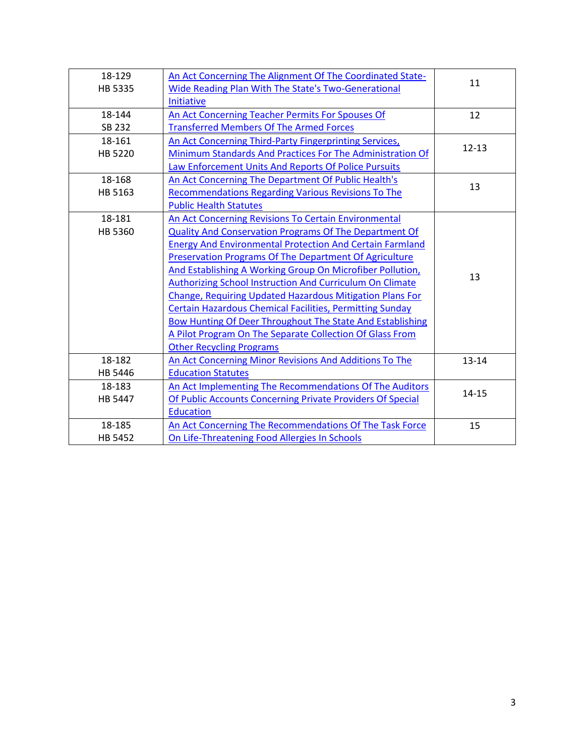| 18-129  | An Act Concerning The Alignment Of The Coordinated State-       |           |
|---------|-----------------------------------------------------------------|-----------|
| HB 5335 | Wide Reading Plan With The State's Two-Generational             | 11        |
|         | Initiative                                                      |           |
| 18-144  | An Act Concerning Teacher Permits For Spouses Of                | 12        |
| SB 232  | <b>Transferred Members Of The Armed Forces</b>                  |           |
| 18-161  | An Act Concerning Third-Party Fingerprinting Services,          | $12 - 13$ |
| HB 5220 | Minimum Standards And Practices For The Administration Of       |           |
|         | Law Enforcement Units And Reports Of Police Pursuits            |           |
| 18-168  | An Act Concerning The Department Of Public Health's             |           |
| HB 5163 | <b>Recommendations Regarding Various Revisions To The</b>       | 13        |
|         | <b>Public Health Statutes</b>                                   |           |
| 18-181  | An Act Concerning Revisions To Certain Environmental            |           |
| HB 5360 | Quality And Conservation Programs Of The Department Of          |           |
|         | <b>Energy And Environmental Protection And Certain Farmland</b> | 13        |
|         | Preservation Programs Of The Department Of Agriculture          |           |
|         | And Establishing A Working Group On Microfiber Pollution,       |           |
|         | <b>Authorizing School Instruction And Curriculum On Climate</b> |           |
|         | Change, Requiring Updated Hazardous Mitigation Plans For        |           |
|         | <b>Certain Hazardous Chemical Facilities, Permitting Sunday</b> |           |
|         | Bow Hunting Of Deer Throughout The State And Establishing       |           |
|         | A Pilot Program On The Separate Collection Of Glass From        |           |
|         | <b>Other Recycling Programs</b>                                 |           |
| 18-182  | An Act Concerning Minor Revisions And Additions To The          | $13 - 14$ |
| HB 5446 | <b>Education Statutes</b>                                       |           |
| 18-183  | An Act Implementing The Recommendations Of The Auditors         |           |
| HB 5447 | Of Public Accounts Concerning Private Providers Of Special      | $14 - 15$ |
|         | <b>Education</b>                                                |           |
| 18-185  | An Act Concerning The Recommendations Of The Task Force         | 15        |
| HB 5452 | On Life-Threatening Food Allergies In Schools                   |           |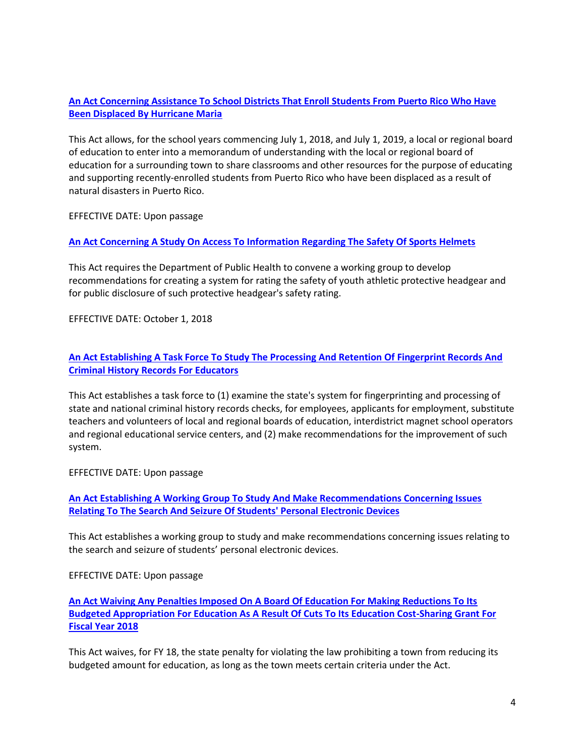# **[An Act Concerning Assistance To School Districts That Enroll Students From Puerto Rico Who Have](https://www.cga.ct.gov/2018/ACT/sa/pdf/2018SA-00007-R00SB-00456-SA.pdf)  [Been Displaced By Hurricane Maria](https://www.cga.ct.gov/2018/ACT/sa/pdf/2018SA-00007-R00SB-00456-SA.pdf)**

<span id="page-3-0"></span>This Act allows, for the school years commencing July 1, 2018, and July 1, 2019, a local or regional board of education to enter into a memorandum of understanding with the local or regional board of education for a surrounding town to share classrooms and other resources for the purpose of educating and supporting recently-enrolled students from Puerto Rico who have been displaced as a result of natural disasters in Puerto Rico.

EFFECTIVE DATE: Upon passage

#### <span id="page-3-1"></span>**[An Act Concerning A Study On Access To Information Regarding The Safety Of Sports Helmets](https://www.cga.ct.gov/2018/ACT/sa/pdf/2018SA-00015-R00HB-05291-SA.pdf)**

This Act requires the Department of Public Health to convene a working group to develop recommendations for creating a system for rating the safety of youth athletic protective headgear and for public disclosure of such protective headgear's safety rating.

EFFECTIVE DATE: October 1, 2018

#### **[An Act Establishing A Task Force To Study The Processing And Retention Of Fingerprint Records And](https://www.cga.ct.gov/2018/ACT/sa/pdf/2018SA-00025-R00SB-00459-SA.pdf)  [Criminal History Records For Educators](https://www.cga.ct.gov/2018/ACT/sa/pdf/2018SA-00025-R00SB-00459-SA.pdf)**

<span id="page-3-2"></span>This Act establishes a task force to (1) examine the state's system for fingerprinting and processing of state and national criminal history records checks, for employees, applicants for employment, substitute teachers and volunteers of local and regional boards of education, interdistrict magnet school operators and regional educational service centers, and (2) make recommendations for the improvement of such system.

EFFECTIVE DATE: Upon passage

**[An Act Establishing A Working Group To Study And Make Recommendations Concerning Issues](https://www.cga.ct.gov/2018/ACT/sa/pdf/2018SA-00028-R00HB-05170-SA.pdf)  [Relating To The Search And Seizure Of Students' Personal Electronic Devices](https://www.cga.ct.gov/2018/ACT/sa/pdf/2018SA-00028-R00HB-05170-SA.pdf)**

<span id="page-3-3"></span>This Act establishes a working group to study and make recommendations concerning issues relating to the search and seizure of students' personal electronic devices.

EFFECTIVE DATE: Upon passage

**[An Act Waiving Any Penalties Imposed On A Board Of Education For Making Reductions To Its](https://www.cga.ct.gov/2018/ACT/pa/pdf/2018PA-00001-R00HB-05592-PA.pdf)  [Budgeted Appropriation For Education As A Result Of Cuts To Its Education Cost-Sharing Grant For](https://www.cga.ct.gov/2018/ACT/pa/pdf/2018PA-00001-R00HB-05592-PA.pdf)  [Fiscal Year 2018](https://www.cga.ct.gov/2018/ACT/pa/pdf/2018PA-00001-R00HB-05592-PA.pdf)**

<span id="page-3-4"></span>This Act waives, for FY 18, the state penalty for violating the law prohibiting a town from reducing its budgeted amount for education, as long as the town meets certain criteria under the Act.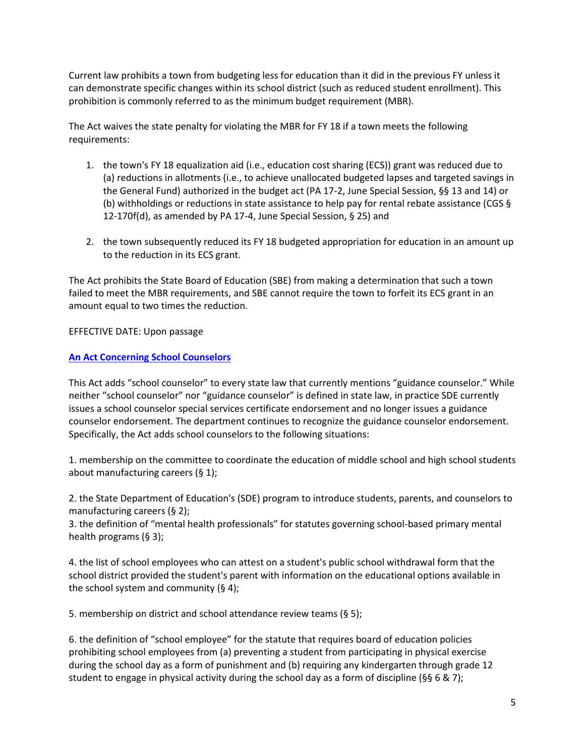Current law prohibits a town from budgeting less for education than it did in the previous FY unless it can demonstrate specific changes within its school district (such as reduced student enrollment). This prohibition is commonly referred to as the minimum budget requirement (MBR).

The Act waives the state penalty for violating the MBR for FY 18 if a town meets the following requirements:

- 1. the town's FY 18 equalization aid (i.e., education cost sharing (ECS)) grant was reduced due to (a) reductions in allotments (i.e., to achieve unallocated budgeted lapses and targeted savings in the General Fund) authorized in the budget act (PA 17-2, June Special Session, §§ 13 and 14) or (b) withholdings or reductions in state assistance to help pay for rental rebate assistance (CGS § 12-170f(d), as amended by PA 17-4, June Special Session, § 25) and
- 2. the town subsequently reduced its FY 18 budgeted appropriation for education in an amount up to the reduction in its ECS grant.

The Act prohibits the State Board of Education (SBE) from making a determination that such a town failed to meet the MBR requirements, and SBE cannot require the town to forfeit its ECS grant in an amount equal to two times the reduction.

EFFECTIVE DATE: Upon passage

# <span id="page-4-0"></span>**[An Act Concerning School Counselors](https://www.cga.ct.gov/2018/ACT/pa/pdf/2018PA-00015-R00SB-00186-PA.pdf)**

This Act adds "school counselor" to every state law that currently mentions "guidance counselor." While neither "school counselor" nor "guidance counselor" is defined in state law, in practice SDE currently issues a school counselor special services certificate endorsement and no longer issues a guidance counselor endorsement. The department continues to recognize the guidance counselor endorsement. Specifically, the Act adds school counselors to the following situations:

1. membership on the committee to coordinate the education of middle school and high school students about manufacturing careers (§ 1);

2. the State Department of Education's (SDE) program to introduce students, parents, and counselors to manufacturing careers (§ 2);

3. the definition of "mental health professionals" for statutes governing school-based primary mental health programs (§ 3);

4. the list of school employees who can attest on a student's public school withdrawal form that the school district provided the student's parent with information on the educational options available in the school system and community  $(§ 4);$ 

5. membership on district and school attendance review teams (§ 5);

6. the definition of "school employee" for the statute that requires board of education policies prohibiting school employees from (a) preventing a student from participating in physical exercise during the school day as a form of punishment and (b) requiring any kindergarten through grade 12 student to engage in physical activity during the school day as a form of discipline ( $\S$ § 6 & 7);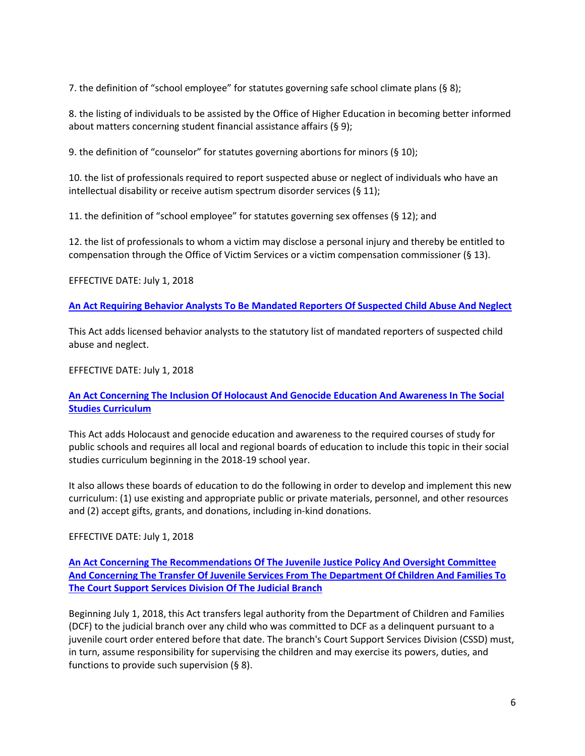7. the definition of "school employee" for statutes governing safe school climate plans (§ 8);

8. the listing of individuals to be assisted by the Office of Higher Education in becoming better informed about matters concerning student financial assistance affairs (§ 9);

9. the definition of "counselor" for statutes governing abortions for minors (§ 10);

10. the list of professionals required to report suspected abuse or neglect of individuals who have an intellectual disability or receive autism spectrum disorder services (§ 11);

11. the definition of "school employee" for statutes governing sex offenses ( $\S$  12); and

12. the list of professionals to whom a victim may disclose a personal injury and thereby be entitled to compensation through the Office of Victim Services or a victim compensation commissioner (§ 13).

EFFECTIVE DATE: July 1, 2018

<span id="page-5-0"></span>**[An Act Requiring Behavior Analysts To Be Mandated Reporters Of Suspected Child Abuse And Neglect](https://www.cga.ct.gov/2018/ACT/pa/pdf/2018PA-00017-R00SB-00244-PA.pdf)**

This Act adds licensed behavior analysts to the statutory list of mandated reporters of suspected child abuse and neglect.

EFFECTIVE DATE: July 1, 2018

#### **[An Act Concerning The Inclusion Of Holocaust And Genocide Education And Awareness In The Social](https://www.cga.ct.gov/2018/ACT/pa/pdf/2018PA-00024-R00SB-00452-PA.pdf)  [Studies Curriculum](https://www.cga.ct.gov/2018/ACT/pa/pdf/2018PA-00024-R00SB-00452-PA.pdf)**

<span id="page-5-1"></span>This Act adds Holocaust and genocide education and awareness to the required courses of study for public schools and requires all local and regional boards of education to include this topic in their social studies curriculum beginning in the 2018-19 school year.

It also allows these boards of education to do the following in order to develop and implement this new curriculum: (1) use existing and appropriate public or private materials, personnel, and other resources and (2) accept gifts, grants, and donations, including in-kind donations.

EFFECTIVE DATE: July 1, 2018

**[An Act Concerning The Recommendations Of The Juvenile Justice Policy And Oversight Committee](https://www.cga.ct.gov/2018/ACT/pa/pdf/2018PA-00031-R00HB-05041-PA.pdf)  [And Concerning The Transfer Of Juvenile Services From The Department Of Children And Families To](https://www.cga.ct.gov/2018/ACT/pa/pdf/2018PA-00031-R00HB-05041-PA.pdf)  [The Court Support Services Division Of The Judicial Branch](https://www.cga.ct.gov/2018/ACT/pa/pdf/2018PA-00031-R00HB-05041-PA.pdf)**

<span id="page-5-2"></span>Beginning July 1, 2018, this Act transfers legal authority from the Department of Children and Families (DCF) to the judicial branch over any child who was committed to DCF as a delinquent pursuant to a juvenile court order entered before that date. The branch's Court Support Services Division (CSSD) must, in turn, assume responsibility for supervising the children and may exercise its powers, duties, and functions to provide such supervision (§ 8).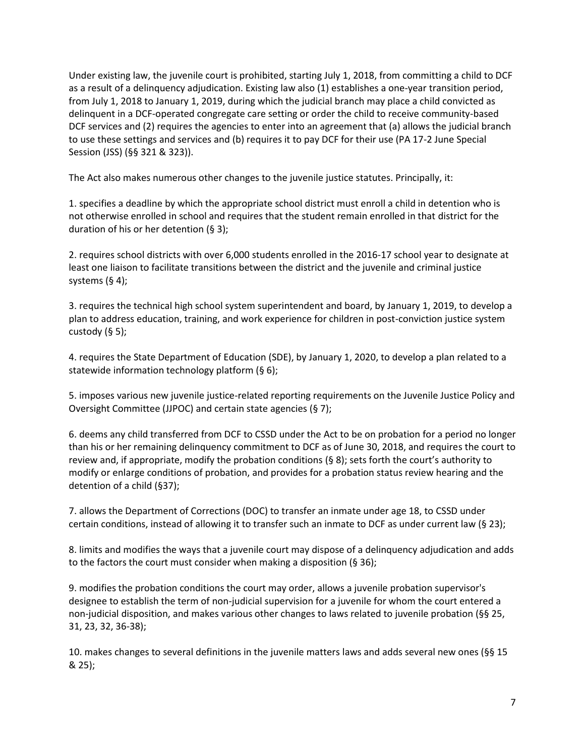Under existing law, the juvenile court is prohibited, starting July 1, 2018, from committing a child to DCF as a result of a delinquency adjudication. Existing law also (1) establishes a one-year transition period, from July 1, 2018 to January 1, 2019, during which the judicial branch may place a child convicted as delinquent in a DCF-operated congregate care setting or order the child to receive community-based DCF services and (2) requires the agencies to enter into an agreement that (a) allows the judicial branch to use these settings and services and (b) requires it to pay DCF for their use (PA 17-2 June Special Session (JSS) (§§ 321 & 323)).

The Act also makes numerous other changes to the juvenile justice statutes. Principally, it:

1. specifies a deadline by which the appropriate school district must enroll a child in detention who is not otherwise enrolled in school and requires that the student remain enrolled in that district for the duration of his or her detention (§ 3);

2. requires school districts with over 6,000 students enrolled in the 2016-17 school year to designate at least one liaison to facilitate transitions between the district and the juvenile and criminal justice systems (§ 4);

3. requires the technical high school system superintendent and board, by January 1, 2019, to develop a plan to address education, training, and work experience for children in post-conviction justice system custody  $(§ 5);$ 

4. requires the State Department of Education (SDE), by January 1, 2020, to develop a plan related to a statewide information technology platform (§ 6);

5. imposes various new juvenile justice-related reporting requirements on the Juvenile Justice Policy and Oversight Committee (JJPOC) and certain state agencies (§ 7);

6. deems any child transferred from DCF to CSSD under the Act to be on probation for a period no longer than his or her remaining delinquency commitment to DCF as of June 30, 2018, and requires the court to review and, if appropriate, modify the probation conditions ( $\S$ 8); sets forth the court's authority to modify or enlarge conditions of probation, and provides for a probation status review hearing and the detention of a child (§37);

7. allows the Department of Corrections (DOC) to transfer an inmate under age 18, to CSSD under certain conditions, instead of allowing it to transfer such an inmate to DCF as under current law (§ 23);

8. limits and modifies the ways that a juvenile court may dispose of a delinquency adjudication and adds to the factors the court must consider when making a disposition (§ 36);

9. modifies the probation conditions the court may order, allows a juvenile probation supervisor's designee to establish the term of non-judicial supervision for a juvenile for whom the court entered a non-judicial disposition, and makes various other changes to laws related to juvenile probation (§§ 25, 31, 23, 32, 36-38);

10. makes changes to several definitions in the juvenile matters laws and adds several new ones (§§ 15 & 25);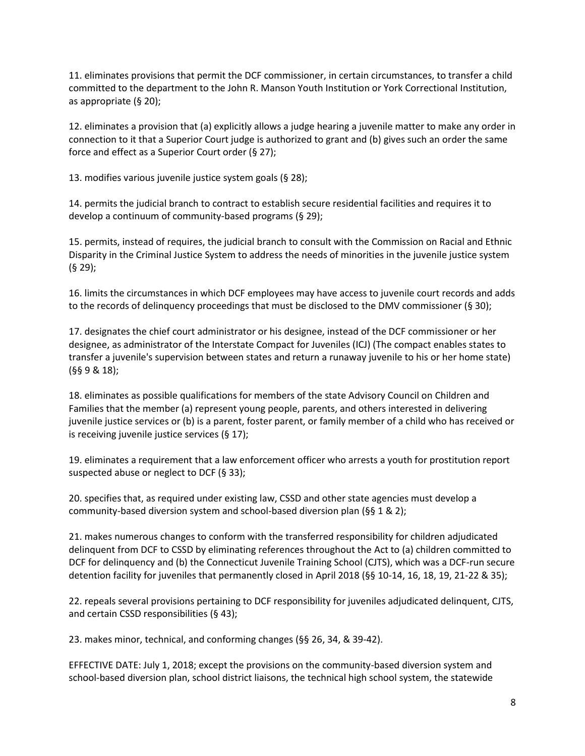11. eliminates provisions that permit the DCF commissioner, in certain circumstances, to transfer a child committed to the department to the John R. Manson Youth Institution or York Correctional Institution, as appropriate (§ 20);

12. eliminates a provision that (a) explicitly allows a judge hearing a juvenile matter to make any order in connection to it that a Superior Court judge is authorized to grant and (b) gives such an order the same force and effect as a Superior Court order (§ 27);

13. modifies various juvenile justice system goals (§ 28);

14. permits the judicial branch to contract to establish secure residential facilities and requires it to develop a continuum of community-based programs (§ 29);

15. permits, instead of requires, the judicial branch to consult with the Commission on Racial and Ethnic Disparity in the Criminal Justice System to address the needs of minorities in the juvenile justice system (§ 29);

16. limits the circumstances in which DCF employees may have access to juvenile court records and adds to the records of delinquency proceedings that must be disclosed to the DMV commissioner (§ 30);

17. designates the chief court administrator or his designee, instead of the DCF commissioner or her designee, as administrator of the Interstate Compact for Juveniles (ICJ) (The compact enables states to transfer a juvenile's supervision between states and return a runaway juvenile to his or her home state) (§§ 9 & 18);

18. eliminates as possible qualifications for members of the state Advisory Council on Children and Families that the member (a) represent young people, parents, and others interested in delivering juvenile justice services or (b) is a parent, foster parent, or family member of a child who has received or is receiving juvenile justice services (§ 17);

19. eliminates a requirement that a law enforcement officer who arrests a youth for prostitution report suspected abuse or neglect to DCF (§ 33);

20. specifies that, as required under existing law, CSSD and other state agencies must develop a community-based diversion system and school-based diversion plan (§§ 1 & 2);

21. makes numerous changes to conform with the transferred responsibility for children adjudicated delinquent from DCF to CSSD by eliminating references throughout the Act to (a) children committed to DCF for delinquency and (b) the Connecticut Juvenile Training School (CJTS), which was a DCF-run secure detention facility for juveniles that permanently closed in April 2018 (§§ 10-14, 16, 18, 19, 21-22 & 35);

22. repeals several provisions pertaining to DCF responsibility for juveniles adjudicated delinquent, CJTS, and certain CSSD responsibilities (§ 43);

23. makes minor, technical, and conforming changes (§§ 26, 34, & 39-42).

EFFECTIVE DATE: July 1, 2018; except the provisions on the community-based diversion system and school-based diversion plan, school district liaisons, the technical high school system, the statewide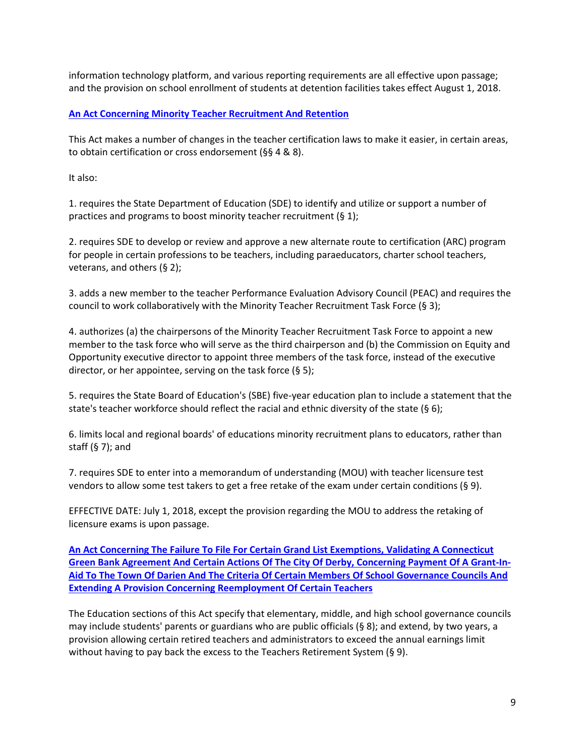information technology platform, and various reporting requirements are all effective upon passage; and the provision on school enrollment of students at detention facilities takes effect August 1, 2018.

#### <span id="page-8-0"></span>**[An Act Concerning Minority Teacher Recruitment And Retention](https://www.cga.ct.gov/2018/ACT/pa/pdf/2018PA-00034-R00SB-00455-PA.pdf)**

This Act makes a number of changes in the teacher certification laws to make it easier, in certain areas, to obtain certification or cross endorsement (§§ 4 & 8).

It also:

1. requires the State Department of Education (SDE) to identify and utilize or support a number of practices and programs to boost minority teacher recruitment (§ 1);

2. requires SDE to develop or review and approve a new alternate route to certification (ARC) program for people in certain professions to be teachers, including paraeducators, charter school teachers, veterans, and others (§ 2);

3. adds a new member to the teacher Performance Evaluation Advisory Council (PEAC) and requires the council to work collaboratively with the Minority Teacher Recruitment Task Force (§ 3);

4. authorizes (a) the chairpersons of the Minority Teacher Recruitment Task Force to appoint a new member to the task force who will serve as the third chairperson and (b) the Commission on Equity and Opportunity executive director to appoint three members of the task force, instead of the executive director, or her appointee, serving on the task force (§ 5);

5. requires the State Board of Education's (SBE) five-year education plan to include a statement that the state's teacher workforce should reflect the racial and ethnic diversity of the state (§ 6);

6. limits local and regional boards' of educations minority recruitment plans to educators, rather than staff  $(§ 7)$ ; and

7. requires SDE to enter into a memorandum of understanding (MOU) with teacher licensure test vendors to allow some test takers to get a free retake of the exam under certain conditions (§ 9).

EFFECTIVE DATE: July 1, 2018, except the provision regarding the MOU to address the retaking of licensure exams is upon passage.

**[An Act Concerning The Failure To File For Certain Grand List Exemptions, Validating A Connecticut](https://www.cga.ct.gov/2018/ACT/pa/pdf/2018PA-00042-R00HB-05574-PA.pdf)  [Green Bank Agreement And Certain Actions Of The City Of Derby, Concerning Payment Of A Grant-In-](https://www.cga.ct.gov/2018/ACT/pa/pdf/2018PA-00042-R00HB-05574-PA.pdf)[Aid To The Town Of Darien And The Criteria Of Certain Members Of School Governance Councils And](https://www.cga.ct.gov/2018/ACT/pa/pdf/2018PA-00042-R00HB-05574-PA.pdf)  [Extending A Provision Concerning Reemployment Of Certain Teachers](https://www.cga.ct.gov/2018/ACT/pa/pdf/2018PA-00042-R00HB-05574-PA.pdf)**

<span id="page-8-1"></span>The Education sections of this Act specify that elementary, middle, and high school governance councils may include students' parents or guardians who are public officials (§ 8); and extend, by two years, a provision allowing certain retired teachers and administrators to exceed the annual earnings limit without having to pay back the excess to the Teachers Retirement System (§ 9).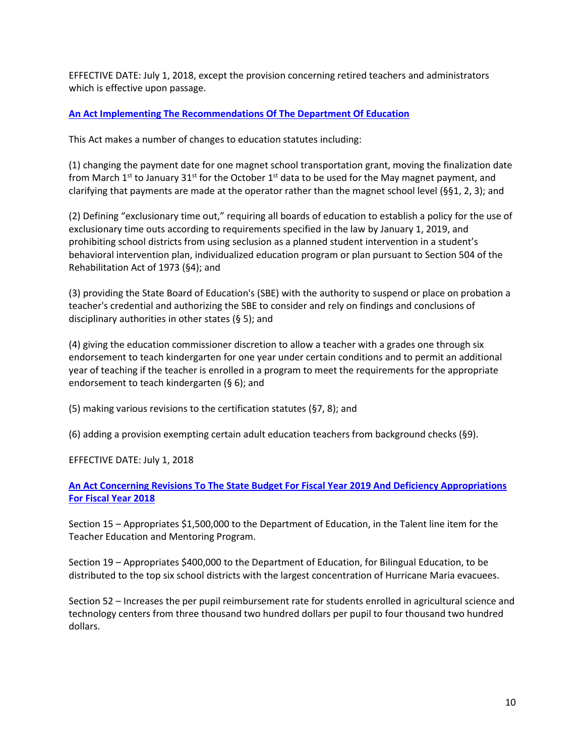EFFECTIVE DATE: July 1, 2018, except the provision concerning retired teachers and administrators which is effective upon passage.

#### <span id="page-9-0"></span>**[An Act Implementing The Recommendations Of The Department Of Education](https://www.cga.ct.gov/2018/ACT/pa/pdf/2018PA-00051-R00SB-00183-PA.pdf)**

This Act makes a number of changes to education statutes including:

(1) changing the payment date for one magnet school transportation grant, moving the finalization date from March  $1^{st}$  to January 31 $^{st}$  for the October  $1^{st}$  data to be used for the May magnet payment, and clarifying that payments are made at the operator rather than the magnet school level (§§1, 2, 3); and

(2) Defining "exclusionary time out," requiring all boards of education to establish a policy for the use of exclusionary time outs according to requirements specified in the law by January 1, 2019, and prohibiting school districts from using seclusion as a planned student intervention in a student's behavioral intervention plan, individualized education program or plan pursuant to Section 504 of the Rehabilitation Act of 1973 (§4); and

(3) providing the State Board of Education's (SBE) with the authority to suspend or place on probation a teacher's credential and authorizing the SBE to consider and rely on findings and conclusions of disciplinary authorities in other states (§ 5); and

(4) giving the education commissioner discretion to allow a teacher with a grades one through six endorsement to teach kindergarten for one year under certain conditions and to permit an additional year of teaching if the teacher is enrolled in a program to meet the requirements for the appropriate endorsement to teach kindergarten (§ 6); and

(5) making various revisions to the certification statutes (§7, 8); and

(6) adding a provision exempting certain adult education teachers from background checks (§9).

EFFECTIVE DATE: July 1, 2018

# **[An Act Concerning Revisions To The State Budget For Fiscal Year 2019 And Deficiency Appropriations](https://www.cga.ct.gov/2018/ACT/pa/pdf/2018PA-00081-R00SB-00543-PA.pdf)  [For Fiscal Year 2018](https://www.cga.ct.gov/2018/ACT/pa/pdf/2018PA-00081-R00SB-00543-PA.pdf)**

<span id="page-9-1"></span>Section 15 – Appropriates \$1,500,000 to the Department of Education, in the Talent line item for the Teacher Education and Mentoring Program.

Section 19 – Appropriates \$400,000 to the Department of Education, for Bilingual Education, to be distributed to the top six school districts with the largest concentration of Hurricane Maria evacuees.

Section 52 – Increases the per pupil reimbursement rate for students enrolled in agricultural science and technology centers from three thousand two hundred dollars per pupil to four thousand two hundred dollars.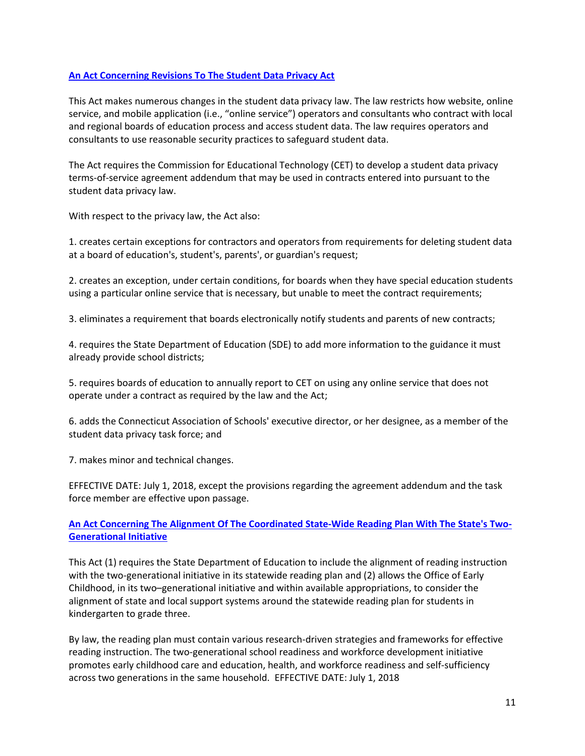#### <span id="page-10-0"></span>**[An Act Concerning Revisions To The Student Data Privacy Act](https://www.cga.ct.gov/2018/ACT/pa/pdf/2018PA-00125-R00HB-05444-PA.pdf)**

This Act makes numerous changes in the student data privacy law. The law restricts how website, online service, and mobile application (i.e., "online service") operators and consultants who contract with local and regional boards of education process and access student data. The law requires operators and consultants to use reasonable security practices to safeguard student data.

The Act requires the Commission for Educational Technology (CET) to develop a student data privacy terms-of-service agreement addendum that may be used in contracts entered into pursuant to the student data privacy law.

With respect to the privacy law, the Act also:

1. creates certain exceptions for contractors and operators from requirements for deleting student data at a board of education's, student's, parents', or guardian's request;

2. creates an exception, under certain conditions, for boards when they have special education students using a particular online service that is necessary, but unable to meet the contract requirements;

3. eliminates a requirement that boards electronically notify students and parents of new contracts;

4. requires the State Department of Education (SDE) to add more information to the guidance it must already provide school districts;

5. requires boards of education to annually report to CET on using any online service that does not operate under a contract as required by the law and the Act;

6. adds the Connecticut Association of Schools' executive director, or her designee, as a member of the student data privacy task force; and

7. makes minor and technical changes.

EFFECTIVE DATE: July 1, 2018, except the provisions regarding the agreement addendum and the task force member are effective upon passage.

# **[An Act Concerning The Alignment Of The Coordinated State-Wide Reading Plan With The State's Two-](https://www.cga.ct.gov/2018/ACT/pa/pdf/2018PA-00129-R00HB-05335-PA.pdf)[Generational Initiative](https://www.cga.ct.gov/2018/ACT/pa/pdf/2018PA-00129-R00HB-05335-PA.pdf)**

<span id="page-10-1"></span>This Act (1) requires the State Department of Education to include the alignment of reading instruction with the two-generational initiative in its statewide reading plan and (2) allows the Office of Early Childhood, in its two–generational initiative and within available appropriations, to consider the alignment of state and local support systems around the statewide reading plan for students in kindergarten to grade three.

By law, the reading plan must contain various research-driven strategies and frameworks for effective reading instruction. The two-generational school readiness and workforce development initiative promotes early childhood care and education, health, and workforce readiness and self-sufficiency across two generations in the same household. EFFECTIVE DATE: July 1, 2018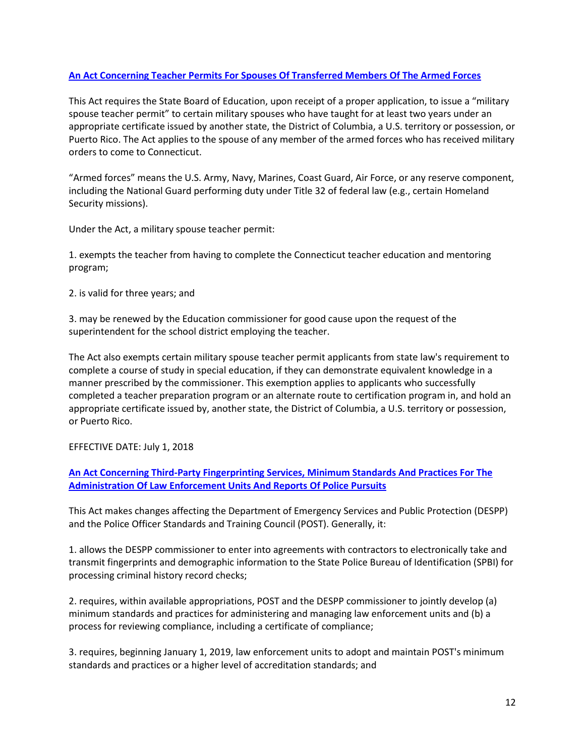#### <span id="page-11-0"></span>**[An Act Concerning Teacher Permits For Spouses Of Transferred Members Of The Armed Forces](https://www.cga.ct.gov/2018/ACT/pa/pdf/2018PA-00144-R00SB-00232-PA.pdf)**

This Act requires the State Board of Education, upon receipt of a proper application, to issue a "military spouse teacher permit" to certain military spouses who have taught for at least two years under an appropriate certificate issued by another state, the District of Columbia, a U.S. territory or possession, or Puerto Rico. The Act applies to the spouse of any member of the armed forces who has received military orders to come to Connecticut.

"Armed forces" means the U.S. Army, Navy, Marines, Coast Guard, Air Force, or any reserve component, including the National Guard performing duty under Title 32 of federal law (e.g., certain Homeland Security missions).

Under the Act, a military spouse teacher permit:

1. exempts the teacher from having to complete the Connecticut teacher education and mentoring program;

2. is valid for three years; and

3. may be renewed by the Education commissioner for good cause upon the request of the superintendent for the school district employing the teacher.

The Act also exempts certain military spouse teacher permit applicants from state law's requirement to complete a course of study in special education, if they can demonstrate equivalent knowledge in a manner prescribed by the commissioner. This exemption applies to applicants who successfully completed a teacher preparation program or an alternate route to certification program in, and hold an appropriate certificate issued by, another state, the District of Columbia, a U.S. territory or possession, or Puerto Rico.

#### EFFECTIVE DATE: July 1, 2018

**[An Act Concerning Third-Party Fingerprinting Services, Minimum Standards And Practices For The](https://www.cga.ct.gov/2018/ACT/pa/pdf/2018PA-00161-R00HB-05220-PA.pdf)  [Administration Of Law Enforcement Units And Reports Of Police Pursuits](https://www.cga.ct.gov/2018/ACT/pa/pdf/2018PA-00161-R00HB-05220-PA.pdf)**

<span id="page-11-1"></span>This Act makes changes affecting the Department of Emergency Services and Public Protection (DESPP) and the Police Officer Standards and Training Council (POST). Generally, it:

1. allows the DESPP commissioner to enter into agreements with contractors to electronically take and transmit fingerprints and demographic information to the State Police Bureau of Identification (SPBI) for processing criminal history record checks;

2. requires, within available appropriations, POST and the DESPP commissioner to jointly develop (a) minimum standards and practices for administering and managing law enforcement units and (b) a process for reviewing compliance, including a certificate of compliance;

3. requires, beginning January 1, 2019, law enforcement units to adopt and maintain POST's minimum standards and practices or a higher level of accreditation standards; and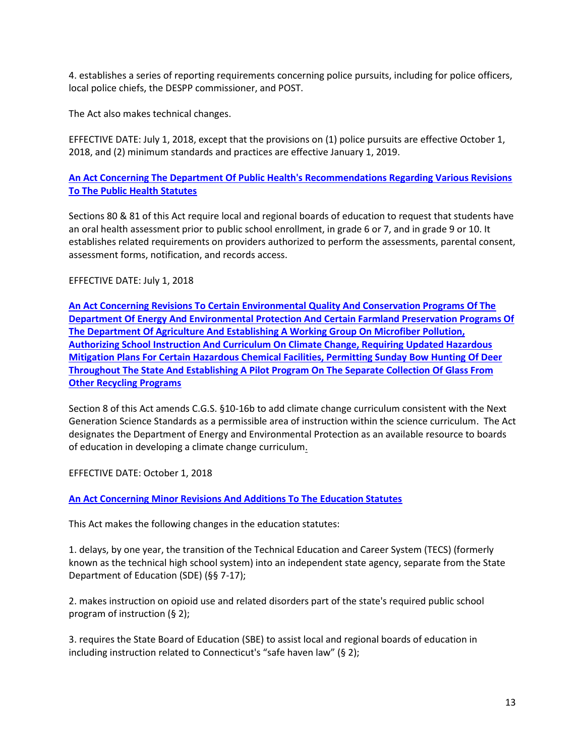4. establishes a series of reporting requirements concerning police pursuits, including for police officers, local police chiefs, the DESPP commissioner, and POST.

The Act also makes technical changes.

EFFECTIVE DATE: July 1, 2018, except that the provisions on (1) police pursuits are effective October 1, 2018, and (2) minimum standards and practices are effective January 1, 2019.

# **[An Act Concerning The Department Of Public Health's Recommendations Regarding Various Revisions](https://www.cga.ct.gov/2018/ACT/pa/pdf/2018PA-00168-R00HB-05163-PA.pdf)  [To The Public Health Statutes](https://www.cga.ct.gov/2018/ACT/pa/pdf/2018PA-00168-R00HB-05163-PA.pdf)**

<span id="page-12-0"></span>Sections 80 & 81 of this Act require local and regional boards of education to request that students have an oral health assessment prior to public school enrollment, in grade 6 or 7, and in grade 9 or 10. It establishes related requirements on providers authorized to perform the assessments, parental consent, assessment forms, notification, and records access.

EFFECTIVE DATE: July 1, 2018

**An Act Concerning Revisions To [Certain Environmental Quality And Conservation Programs Of The](https://www.cga.ct.gov/2018/ACT/pa/pdf/2018PA-00181-R00HB-05360-PA.pdf)  [Department Of Energy And Environmental Protection And Certain Farmland Preservation Programs Of](https://www.cga.ct.gov/2018/ACT/pa/pdf/2018PA-00181-R00HB-05360-PA.pdf)  [The Department Of Agriculture And Establishing A Working Group On Microfiber Pollution,](https://www.cga.ct.gov/2018/ACT/pa/pdf/2018PA-00181-R00HB-05360-PA.pdf)  [Authorizing School Instruction And Curriculum On Climate Change, Requiring Updated Hazardous](https://www.cga.ct.gov/2018/ACT/pa/pdf/2018PA-00181-R00HB-05360-PA.pdf)  [Mitigation Plans For Certain Hazardous Chemical Facilities, Permitting Sunday Bow Hunting Of Deer](https://www.cga.ct.gov/2018/ACT/pa/pdf/2018PA-00181-R00HB-05360-PA.pdf)  [Throughout The State And Establishing A Pilot Program On The Separate Collection Of Glass From](https://www.cga.ct.gov/2018/ACT/pa/pdf/2018PA-00181-R00HB-05360-PA.pdf)  [Other Recycling Programs](https://www.cga.ct.gov/2018/ACT/pa/pdf/2018PA-00181-R00HB-05360-PA.pdf)**

<span id="page-12-1"></span>Section 8 of this Act amends C.G.S. §10-16b to add climate change curriculum consistent with the Next Generation Science Standards as a permissible area of instruction within the science curriculum. The Act designates the Department of Energy and Environmental Protection as an available resource to boards of education in developing a climate change curriculum.

EFFECTIVE DATE: October 1, 2018

# <span id="page-12-2"></span>**[An Act Concerning Minor Revisions And Additions To The Education Statutes](https://www.cga.ct.gov/2018/ACT/pa/pdf/2018PA-00182-R00HB-05446-PA.pdf)**

This Act makes the following changes in the education statutes:

1. delays, by one year, the transition of the Technical Education and Career System (TECS) (formerly known as the technical high school system) into an independent state agency, separate from the State Department of Education (SDE) (§§ 7-17);

2. makes instruction on opioid use and related disorders part of the state's required public school program of instruction (§ 2);

3. requires the State Board of Education (SBE) to assist local and regional boards of education in including instruction related to Connecticut's "safe haven law" (§ 2);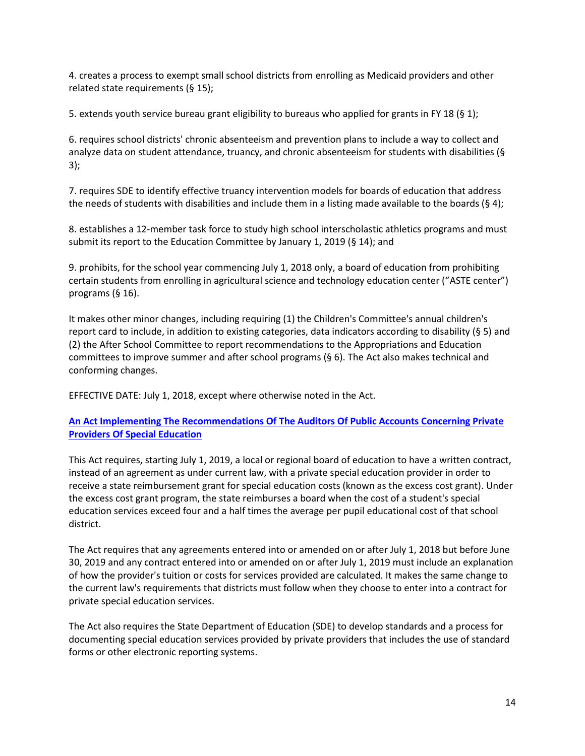4. creates a process to exempt small school districts from enrolling as Medicaid providers and other related state requirements (§ 15);

5. extends youth service bureau grant eligibility to bureaus who applied for grants in FY 18 (§ 1);

6. requires school districts' chronic absenteeism and prevention plans to include a way to collect and analyze data on student attendance, truancy, and chronic absenteeism for students with disabilities (§ 3);

7. requires SDE to identify effective truancy intervention models for boards of education that address the needs of students with disabilities and include them in a listing made available to the boards (§ 4);

8. establishes a 12-member task force to study high school interscholastic athletics programs and must submit its report to the Education Committee by January 1, 2019 (§ 14); and

9. prohibits, for the school year commencing July 1, 2018 only, a board of education from prohibiting certain students from enrolling in agricultural science and technology education center ("ASTE center") programs (§ 16).

It makes other minor changes, including requiring (1) the Children's Committee's annual children's report card to include, in addition to existing categories, data indicators according to disability (§ 5) and (2) the After School Committee to report recommendations to the Appropriations and Education committees to improve summer and after school programs (§ 6). The Act also makes technical and conforming changes.

EFFECTIVE DATE: July 1, 2018, except where otherwise noted in the Act.

# **[An Act Implementing The Recommendations Of The Auditors Of Public Accounts Concerning Private](https://www.cga.ct.gov/2018/ACT/pa/pdf/2018PA-00183-R00HB-05447-PA.pdf)  [Providers Of Special Education](https://www.cga.ct.gov/2018/ACT/pa/pdf/2018PA-00183-R00HB-05447-PA.pdf)**

<span id="page-13-0"></span>This Act requires, starting July 1, 2019, a local or regional board of education to have a written contract, instead of an agreement as under current law, with a private special education provider in order to receive a state reimbursement grant for special education costs (known as the excess cost grant). Under the excess cost grant program, the state reimburses a board when the cost of a student's special education services exceed four and a half times the average per pupil educational cost of that school district.

The Act requires that any agreements entered into or amended on or after July 1, 2018 but before June 30, 2019 and any contract entered into or amended on or after July 1, 2019 must include an explanation of how the provider's tuition or costs for services provided are calculated. It makes the same change to the current law's requirements that districts must follow when they choose to enter into a contract for private special education services.

The Act also requires the State Department of Education (SDE) to develop standards and a process for documenting special education services provided by private providers that includes the use of standard forms or other electronic reporting systems.